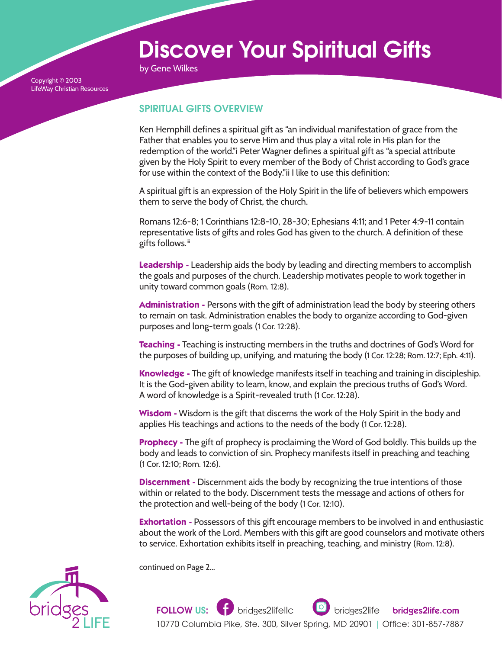## Discover Your Spiritual Gifts

by Gene Wilkes

Copyright © 2003 LifeWay Christian Resources

## SPIRITUAL GIFTS OVERVIEW

Ken Hemphill defines a spiritual gift as "an individual manifestation of grace from the Father that enables you to serve Him and thus play a vital role in His plan for the redemption of the world."i Peter Wagner defines a spiritual gift as "a special attribute given by the Holy Spirit to every member of the Body of Christ according to God's grace for use within the context of the Body."ii I like to use this definition:

A spiritual gift is an expression of the Holy Spirit in the life of believers which empowers them to serve the body of Christ, the church.

Romans 12:6-8; 1 Corinthians 12:8-10, 28-30; Ephesians 4:11; and 1 Peter 4:9-11 contain representative lists of gifts and roles God has given to the church. A definition of these gifts follows.iii

**Leadership -** Leadership aids the body by leading and directing members to accomplish the goals and purposes of the church. Leadership motivates people to work together in unity toward common goals (Rom. 12:8).

**Administration -** Persons with the gift of administration lead the body by steering others to remain on task. Administration enables the body to organize according to God-given purposes and long-term goals (1 Cor. 12:28).

**Teaching -** Teaching is instructing members in the truths and doctrines of God's Word for the purposes of building up, unifying, and maturing the body (1 Cor. 12:28; Rom. 12:7; Eph. 4:11).

**Knowledge -** The gift of knowledge manifests itself in teaching and training in discipleship. It is the God-given ability to learn, know, and explain the precious truths of God's Word. A word of knowledge is a Spirit-revealed truth (1 Cor. 12:28).

**Wisdom -** Wisdom is the gift that discerns the work of the Holy Spirit in the body and applies His teachings and actions to the needs of the body (1 Cor. 12:28).

**Prophecy -** The gift of prophecy is proclaiming the Word of God boldly. This builds up the body and leads to conviction of sin. Prophecy manifests itself in preaching and teaching (1 Cor. 12:10; Rom. 12:6).

**Discernment -** Discernment aids the body by recognizing the true intentions of those within or related to the body. Discernment tests the message and actions of others for the protection and well-being of the body (1 Cor. 12:10).

**Exhortation -** Possessors of this gift encourage members to be involved in and enthusiastic about the work of the Lord. Members with this gift are good counselors and motivate others to service. Exhortation exhibits itself in preaching, teaching, and ministry (Rom. 12:8).



continued on Page 2...